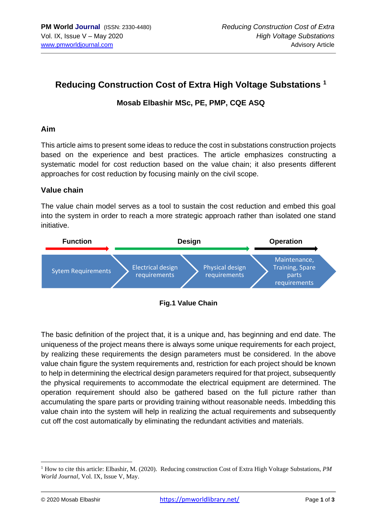# **Reducing Construction Cost of Extra High Voltage Substations <sup>1</sup>**

## **Mosab Elbashir MSc, PE, PMP, CQE ASQ**

#### **Aim**

This article aims to present some ideas to reduce the cost in substations construction projects based on the experience and best practices. The article emphasizes constructing a systematic model for cost reduction based on the value chain; it also presents different approaches for cost reduction by focusing mainly on the civil scope.

## **Value chain**

The value chain model serves as a tool to sustain the cost reduction and embed this goal into the system in order to reach a more strategic approach rather than isolated one stand initiative.



The basic definition of the project that, it is a unique and, has beginning and end date. The uniqueness of the project means there is always some unique requirements for each project, by realizing these requirements the design parameters must be considered. In the above value chain figure the system requirements and, restriction for each project should be known to help in determining the electrical design parameters required for that project, subsequently the physical requirements to accommodate the electrical equipment are determined. The operation requirement should also be gathered based on the full picture rather than accumulating the spare parts or providing training without reasonable needs. Imbedding this value chain into the system will help in realizing the actual requirements and subsequently cut off the cost automatically by eliminating the redundant activities and materials.

<sup>1</sup> How to cite this article: Elbashir, M. (2020). Reducing construction Cost of Extra High Voltage Substations, *PM World Journal*, Vol. IX, Issue V, May.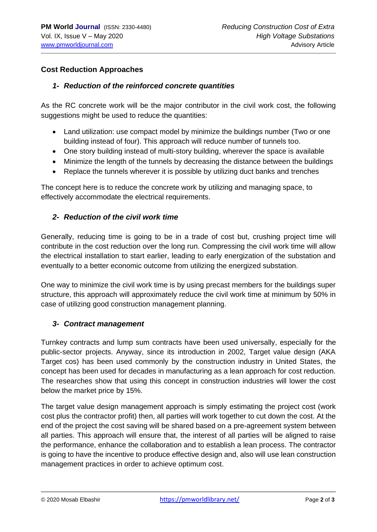# **Cost Reduction Approaches**

#### *1- Reduction of the reinforced concrete quantities*

As the RC concrete work will be the major contributor in the civil work cost, the following suggestions might be used to reduce the quantities:

- Land utilization: use compact model by minimize the buildings number (Two or one building instead of four). This approach will reduce number of tunnels too.
- One story building instead of multi-story building, wherever the space is available
- Minimize the length of the tunnels by decreasing the distance between the buildings
- Replace the tunnels wherever it is possible by utilizing duct banks and trenches

The concept here is to reduce the concrete work by utilizing and managing space, to effectively accommodate the electrical requirements.

## *2- Reduction of the civil work time*

Generally, reducing time is going to be in a trade of cost but, crushing project time will contribute in the cost reduction over the long run. Compressing the civil work time will allow the electrical installation to start earlier, leading to early energization of the substation and eventually to a better economic outcome from utilizing the energized substation.

One way to minimize the civil work time is by using precast members for the buildings super structure, this approach will approximately reduce the civil work time at minimum by 50% in case of utilizing good construction management planning.

## *3- Contract management*

Turnkey contracts and lump sum contracts have been used universally, especially for the public-sector projects. Anyway, since its introduction in 2002, Target value design (AKA Target cos) has been used commonly by the construction industry in United States, the concept has been used for decades in manufacturing as a lean approach for cost reduction. The researches show that using this concept in construction industries will lower the cost below the market price by 15%.

The target value design management approach is simply estimating the project cost (work cost plus the contractor profit) then, all parties will work together to cut down the cost. At the end of the project the cost saving will be shared based on a pre-agreement system between all parties. This approach will ensure that, the interest of all parties will be aligned to raise the performance, enhance the collaboration and to establish a lean process. The contractor is going to have the incentive to produce effective design and, also will use lean construction management practices in order to achieve optimum cost.